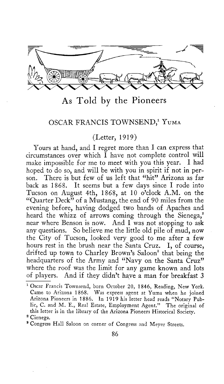

As Told by the Pioneers

## OSCAR FRANCIS TOWNSEND,<sup>1</sup> YUMA

(Letter, 1919)

Yours at hand, and I regret more than I can express that circumstances over which I have not complete control will make impossible for me to meet with you this year. I had hoped to do so, and will be with you in spirit if not in person. There is but few of us left that "hit" Arizona as far back as 1868. It seems but a few days since I rode into Tucson on August 4th, 1868, at 10 o'clock A.M. on the "Quarter Deck" of a Mustang, the end of 90 miles from the evening before, having dodged two bands of Apaches and heard the whizz of arrows coming through the Sienega,<sup>2</sup> near where Benson is now. And I was not stopping to ask any questions. So believe me the little old pile of mud, now the City of Tucson, looked very good to me after a few hours rest in the brush near the Santa Cruz. I, of course, drifted up town to Charley Brown's Saloon' that being the headquarters of the Army and "Navy on the Santa Cruz" where the roof was the limit for any game known and lots of players. And if they didn't have a man for breakfast <sup>3</sup>

<sup>&</sup>lt;sup>1</sup> Oscar Francis Townsend, born October 20, 1846, Reading, New York. Came to Arizona 1868. Was express agent at Yuma when he joined Arizona Pioneers in 1886. In 1919 his letter head reads "Notary Public, C. and M. E., Real Estate, Employment Agent." The original of this letter is in the library of the Arizona Pioneers Historical Society. **<sup>2</sup>** Cienega.

**<sup>3</sup>** Congress Hall Saloon on corner of Congress and Meyer Streets.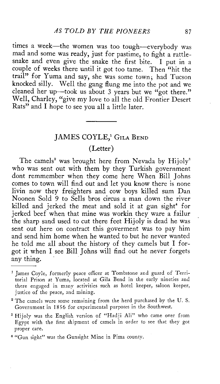times a week—the women was too tough—everybody was mad and some was ready, just for pastime, to fight a rattlesnake and even give the snake the first bite. I put in a couple of weeks there until it got too tame. Then "hit the trail" for Yuma and say, she was some town; had Tucson knocked silly. Well the gang flung me into the pot and we cleaned her up—took us about 3 years but we "got there." Well, Charley, "give my love to all the old Frontier Desert Rats" and I hope to see you all a little later.

## JAMES COYLE,' GILA BEND

(Letter)

The camels<sup>2</sup> was brought here from Nevada by  $Hijoly^3$ who was sent out with them by they Turkish government dont remmember when they come here When Bill Johns comes to town will find out and let you know there is none livin now they freighters and cow boys killed sum Dan Noonen Sold 9 to Sells bros circus a man down the river killed and jerked the meat and sold it at gun sight' for jerked beef when that mine was workin they ware a failur the sharp sand used to cut there feet Hijoly is dead he was sent out here on contract this goverment was to pay him and send him home when he wanted to but he never wanted he told me all about the history of they camels but I forgot it when I see Bill Johns will find out he never forgets any thing.

<sup>&#</sup>x27; James Coyle, formerly peace officer at Tombstone and guard of Territorial Prison at Yuma, located at Gila Bend in the early nineties and there engaged in many activities such as hotel keeper, saloon keeper, justice of the peace, and mining.

<sup>&</sup>lt;sup>2</sup> The camels were some remaining from the herd purchased by the U.S. Government in 1856 for experimental purposes in the Southwest.

<sup>&</sup>lt;sup>3</sup> Hijoly was the English version of "Hadji Ali" who came over from Egypt with the first shipment of camels in order to see that they got proper care.

<sup>&</sup>lt;sup>4</sup> "Gun sight" was the Gunsight Mine in Pima county.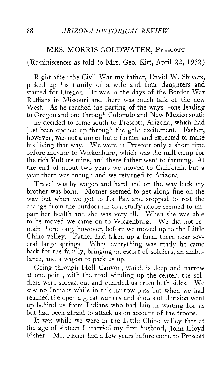## MRS. MORRIS GOLDWATER, PRESCOTT

(Reminiscences as told to Mrs. Geo. Kitt, April 22, 1932)

Right after the Civil War my father, David W. Shivers, picked up his family of a wife and four daughters and started for Oregon. It was in the days of the Border War Ruffians in Missouri and there was much talk of the new West. As he reached the parting of the ways—one leading to Oregon and one through Colorado and New Mexico south —he decided to come south to Prescott, Arizona, which had just been opened up through the gold excitement. Father, however, was not a miner but a farmer and expected to make his living that way. We were in Prescott only a short time before moving to Wickenburg, which was the mill camp for the rich Vulture mine, and there father went to farming. At the end of about two years we moved to California but a year there was enough and we returned to Arizona.

Travel was by wagon and hard and on the way back my brother was born. Mother seemed to get along fine on the way but when we got to La Paz and stopped to rest the change from the outdoor air to a stuffy adobe seemed to impair her health and she was very ill. When she was able to be moved we came on to Wickenburg. We did not remain there long, however, before we moved up to the Little Chino valley. Father had taken up a farm there near several large springs. When everything was ready he came back for the family, bringing an escort of soldiers, an ambulance, and a wagon to pack us up.

Going through Hell Canyon, which is deep and narrow at one point, with the road winding up the center, the soldiers were spread out and guarded us from both sides. We saw no Indians while in this narrow pass but when we had reached the open a great war cry and shouts of derision went up behind us from Indians who had lain in waiting for us but had been afraid to attack us on account of the troops.

It was while we were in the Little Chino valley that at the age of sixteen I married my first husband, John Lloyd Fisher. Mr. Fisher had a few years before come to Prescott